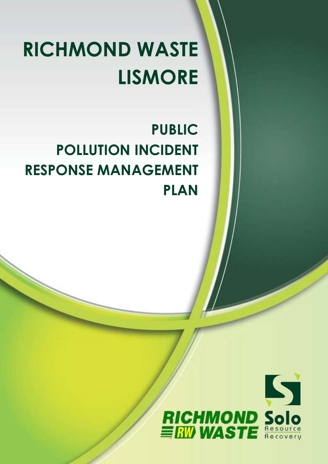# **RICHMOND WASTE LISMORE**

# **PUBLIC POLLUTION INCIDENT RESPONSE MANAGEMENT PLAN**

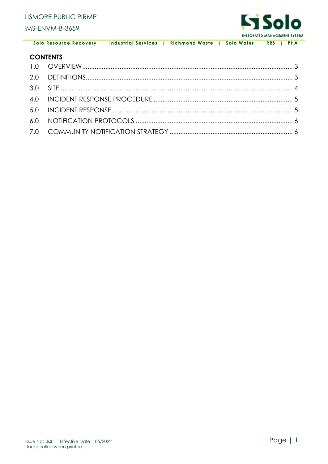

### **CONTENTS**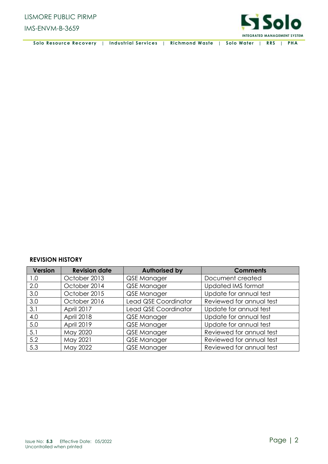

| Solo Resource Recovery   Industrial Services   Richmond Waste   Solo Water   RRS   PHA |  |  |  |  |  |
|----------------------------------------------------------------------------------------|--|--|--|--|--|
|----------------------------------------------------------------------------------------|--|--|--|--|--|

#### **REVISION HISTORY**

| <b>Version</b> | <b>Revision date</b> | <b>Authorised by</b> | <b>Comments</b>           |
|----------------|----------------------|----------------------|---------------------------|
| 1.0            | October 2013         | QSE Manager          | Document created          |
| 2.0            | October 2014         | QSE Manager          | <b>Updated IMS format</b> |
| 3.0            | October 2015         | QSE Manager          | Update for annual test    |
| 3.0            | October 2016         | Lead QSE Coordinator | Reviewed for annual test  |
| 3.1            | April 2017           | Lead QSE Coordinator | Update for annual test    |
| 4.0            | April 2018           | QSE Manager          | Update for annual test    |
| 5.0            | April 2019           | QSE Manager          | Update for annual test    |
| 5.1            | May 2020             | QSE Manager          | Reviewed for annual test  |
| 5.2            | May 2021             | QSE Manager          | Reviewed for annual test  |
| 5.3            | May 2022             | QSE Manager          | Reviewed for annual test  |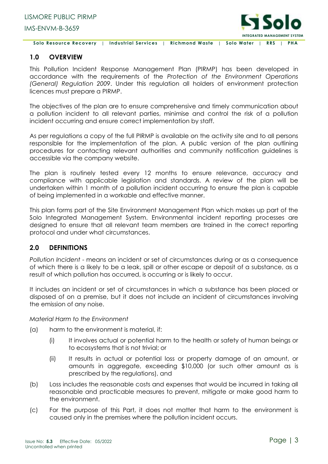

#### <span id="page-3-0"></span>**1.0 OVERVIEW**

This Pollution Incident Response Management Plan (PIRMP) has been developed in accordance with the requirements of the *Protection of the Environment Operations (General) Regulation 2009*. Under this regulation all holders of environment protection licences must prepare a PIRMP.

The objectives of the plan are to ensure comprehensive and timely communication about a pollution incident to all relevant parties, minimise and control the risk of a pollution incident occurring and ensure correct implementation by staff.

As per regulations a copy of the full PIRMP is available on the activity site and to all persons responsible for the implementation of the plan. A public version of the plan outlining procedures for contacting relevant authorities and community notification guidelines is accessible via the company website.

The plan is routinely tested every 12 months to ensure relevance, accuracy and compliance with applicable legislation and standards. A review of the plan will be undertaken within 1 month of a pollution incident occurring to ensure the plan is capable of being implemented in a workable and effective manner.

This plan forms part of the Site Environment Management Plan which makes up part of the Solo Integrated Management System. Environmental incident reporting processes are designed to ensure that all relevant team members are trained in the correct reporting protocol and under what circumstances.

#### <span id="page-3-1"></span>**2.0 DEFINITIONS**

*Pollution Incident* - means an incident or set of circumstances during or as a consequence of which there is a likely to be a leak, spill or other escape or deposit of a substance, as a result of which pollution has occurred, is occurring or is likely to occur.

It includes an incident or set of circumstances in which a substance has been placed or disposed of on a premise, but it does not include an incident of circumstances involving the emission of any noise.

*Material Harm to the Environment* 

- (a) harm to the environment is material, if:
	- (i) It involves actual or potential harm to the health or safety of human beings or to ecosystems that is not trivial; or
	- (ii) It results in actual or potential loss or property damage of an amount, or amounts in aggregate, exceeding \$10,000 (or such other amount as is prescribed by the regulations), and
- (b) Loss includes the reasonable costs and expenses that would be incurred in taking all reasonable and practicable measures to prevent, mitigate or make good harm to the environment.
- (c) For the purpose of this Part, it does not matter that harm to the environment is caused only in the premises where the pollution incident occurs.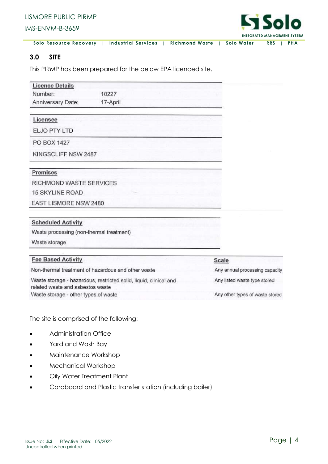

#### <span id="page-4-0"></span>**3.0 SITE**

This PIRMP has been prepared for the below EPA licenced site.

| <b>Licence Details</b>                   |                                                                   |                                |
|------------------------------------------|-------------------------------------------------------------------|--------------------------------|
| Number:                                  | 10227                                                             |                                |
| Anniversary Date:                        | 17-April                                                          |                                |
| Licensee                                 |                                                                   |                                |
| ELJO PTY LTD                             |                                                                   |                                |
| <b>PO BOX 1427</b>                       |                                                                   |                                |
| KINGSCLIFF NSW 2487                      |                                                                   |                                |
| Premises                                 |                                                                   |                                |
| RICHMOND WASTE SERVICES                  |                                                                   |                                |
| <b>15 SKYLINE ROAD</b>                   |                                                                   |                                |
| EAST LISMORE NSW 2480                    |                                                                   |                                |
| <b>Scheduled Activity</b>                |                                                                   |                                |
| Waste processing (non-thermal treatment) |                                                                   |                                |
| Waste storage                            |                                                                   |                                |
| <b>Fee Based Activity</b>                |                                                                   | Scale                          |
|                                          | Non-thermal treatment of hazardous and other waste                | Any annual processing capacity |
| related waste and asbestos waste         | Waste storage - hazardous, restricted solid, liquid, clinical and | Any listed waste type stored   |
| Waste storage - other types of waste     | Any other types of waste stored                                   |                                |

The site is comprised of the following:

- Administration Office
- Yard and Wash Bay
- Maintenance Workshop
- Mechanical Workshop
- Oily Water Treatment Plant
- Cardboard and Plastic transfer station (including bailer)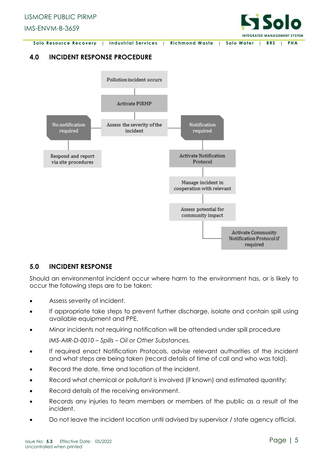

# <span id="page-5-0"></span>**4.0 INCIDENT RESPONSE PROCEDURE**



#### <span id="page-5-1"></span>**5.0 INCIDENT RESPONSE**

Should an environmental incident occur where harm to the environment has, or is likely to occur the following steps are to be taken:

- Assess severity of incident.
- If appropriate take steps to prevent further discharge, isolate and contain spill using available equipment and PPE.
- Minor incidents not requiring notification will be attended under spill procedure *IMS-AIIR-D-0010 – Spills – Oil or Other Substances.*
- If required enact Notification Protocols, advise relevant authorities of the incident and what steps are being taken (record details of time of call and who was told).
- Record the date, time and location of the incident.
- Record what chemical or pollutant is involved (if known) and estimated quantity;
- Record details of the receiving environment.
- Records any injuries to team members or members of the public as a result of the incident.
- Do not leave the incident location until advised by supervisor / state agency official.